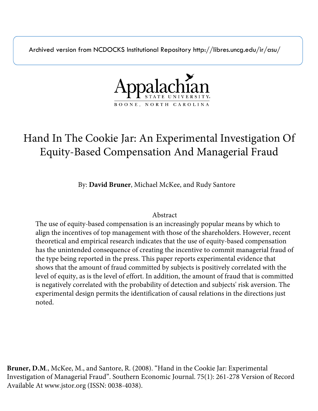Archived version from NCDOCKS Institutional Repository http://libres.uncg.edu/ir/asu/



# Hand In The Cookie Jar: An Experimental Investigation Of Equity-Based Compensation And Managerial Fraud

By: **David Bruner**, Michael McKee, and Rudy Santore

# Abstract

The use of equity-based compensation is an increasingly popular means by which to align the incentives of top management with those of the shareholders. However, recent theoretical and empirical research indicates that the use of equity-based compensation has the unintended consequence of creating the incentive to commit managerial fraud of the type being reported in the press. This paper reports experimental evidence that shows that the amount of fraud committed by subjects is positively correlated with the level of equity, as is the level of effort. In addition, the amount of fraud that is committed is negatively correlated with the probability of detection and subjects' risk aversion. The experimental design permits the identification of causal relations in the directions just noted.

**Bruner, D.M**., McKee, M., and Santore, R. (2008). "Hand in the Cookie Jar: Experimental Investigation of Managerial Fraud". Southern Economic Journal. 75(1): 261-278 Version of Record Available At www.jstor.org (ISSN: 0038-4038).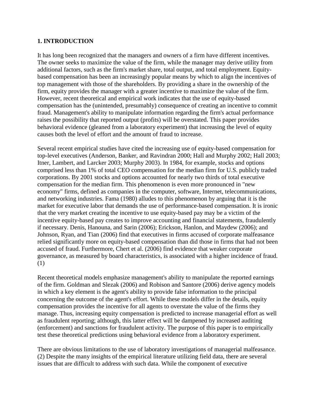# **1. INTRODUCTION**

It has long been recognized that the managers and owners of a firm have different incentives. The owner seeks to maximize the value of the firm, while the manager may derive utility from additional factors, such as the firm's market share, total output, and total employment. Equitybased compensation has been an increasingly popular means by which to align the incentives of top management with those of the shareholders. By providing a share in the ownership of the firm, equity provides the manager with a greater incentive to maximize the value of the firm. However, recent theoretical and empirical work indicates that the use of equity-based compensation has the (unintended, presumably) consequence of creating an incentive to commit fraud. Management's ability to manipulate information regarding the firm's actual performance raises the possibility that reported output (profits) will be overstated. This paper provides behavioral evidence (gleaned from a laboratory experiment) that increasing the level of equity causes both the level of effort and the amount of fraud to increase.

Several recent empirical studies have cited the increasing use of equity-based compensation for top-level executives (Anderson, Banker, and Ravindran 2000; Hall and Murphy 2002; Hall 2003; Itner, Lambert, and Larcker 2003; Murphy 2003). In 1984, for example, stocks and options comprised less than 1% of total CEO compensation for the median firm for U.S. publicly traded corporations. By 2001 stocks and options accounted for nearly two thirds of total executive compensation for the median firm. This phenomenon is even more pronounced in "new economy" firms, defined as companies in the computer, software, Internet, telecommunications, and networking industries. Fama (1980) alludes to this phenomenon by arguing that it is the market for executive labor that demands the use of performance-based compensation. It is ironic that the very market creating the incentive to use equity-based pay may be a victim of the incentive equity-based pay creates to improve accounting and financial statements, fraudulently if necessary. Denis, Hanouna, and Sarin (2006); Erickson, Hanlon, and Maydew (2006); and Johnson, Ryan, and Tian (2006) find that executives in firms accused of corporate malfeasance relied significantly more on equity-based compensation than did those in firms that had not been accused of fraud. Furthermore, Chert et al. (2006) find evidence that weaker corporate governance, as measured by board characteristics, is associated with a higher incidence of fraud. (1)

Recent theoretical models emphasize management's ability to manipulate the reported earnings of the firm. Goldman and Slezak (2006) and Robison and Santore (2006) derive agency models in which a key element is the agent's ability to provide false information to the principal concerning the outcome of the agent's effort. While these models differ in the details, equity compensation provides the incentive for all agents to overstate the value of the firms they manage. Thus, increasing equity compensation is predicted to increase managerial effort as well as fraudulent reporting; although, this latter effect will be dampened by increased auditing (enforcement) and sanctions for fraudulent activity. The purpose of this paper is to empirically test these theoretical predictions using behavioral evidence from a laboratory experiment.

There are obvious limitations to the use of laboratory investigations of managerial malfeasance. (2) Despite the many insights of the empirical literature utilizing field data, there are several issues that are difficult to address with such data. While the component of executive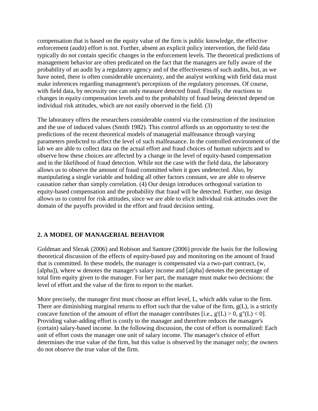compensation that is based on the equity value of the firm is public knowledge, the effective enforcement (audit) effort is not. Further, absent an explicit policy intervention, the field data typically do not contain specific changes in the enforcement levels. The theoretical predictions of management behavior are often predicated on the fact that the managers are fully aware of the probability of an audit by a regulatory agency and of the effectiveness of such audits, but, as we have noted, there is often considerable uncertainty, and the analyst working with field data must make inferences regarding management's perceptions of the regulatory processes. Of course, with field data, by necessity one can only measure detected fraud. Finally, the reactions to changes in equity compensation levels and to the probability of fraud being detected depend on individual risk attitudes, which are not easily observed in the field. (3)

The laboratory offers the researchers considerable control via the construction of the institution and the use of induced values (Smith 1982). This control affords us an opportunity to test the predictions of the recent theoretical models of managerial malfeasance through varying parameters predicted to affect the level of such malfeasance. In the controlled environment of the lab we are able to collect data on the actual effort and fraud choices of human subjects and to observe how these choices are affected by a change in the level of equity-based compensation and in the likelihood of fraud detection. While not the case with the field data, the laboratory allows us to observe the amount of fraud committed when it goes undetected. Also, by manipulating a single variable and holding all other factors constant, we are able to observe causation rather than simply correlation. (4) Our design introduces orthogonal variation to equity-based compensation and the probability that fraud will be detected. Further, our design allows us to control for risk attitudes, since we are able to elicit individual risk attitudes over the domain of the payoffs provided in the effort and fraud decision setting.

# **2. A MODEL OF MANAGERIAL BEHAVIOR**

Goldman and Slezak (2006) and Robison and Santore (2006) provide the basis for the following theoretical discussion of the effects of equity-based pay and monitoring on the amount of fraud that is committed. In these models, the manager is compensated via a two-part contract, (w, [alpha]), where w denotes the manager's salary income and [alpha] denotes the percentage of total firm equity given to the manager. For her part, the manager must make two decisions: the level of effort and the value of the firm to report to the market.

More precisely, the manager first must choose an effort level, L, which adds value to the firm. There are diminishing marginal returns to effort such that the value of the firm,  $g(L)$ , is a strictly concave function of the amount of effort the manager contributes [i.e.,  $g'(L) > 0$ ,  $g''(L) < 0$ ]. Providing value-adding effort is costly to the manager and therefore reduces the manager's (certain) salary-based income. In the following discussion, the cost of effort is normalized: Each unit of effort costs the manager one unit of salary income. The manager's choice of effort determines the true value of the firm, but this value is observed by the manager only; the owners do not observe the true value of the firm.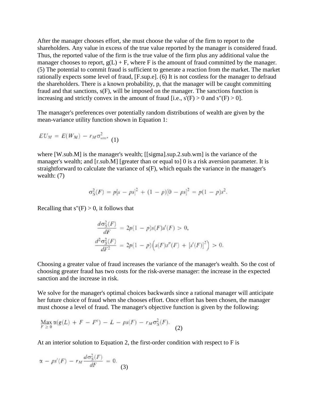After the manager chooses effort, she must choose the value of the firm to report to the shareholders. Any value in excess of the true value reported by the manager is considered fraud. Thus, the reported value of the firm is the true value of the firm plus any additional value the manager chooses to report,  $g(L) + F$ , where F is the amount of fraud committed by the manager. (5) The potential to commit fraud is sufficient to generate a reaction from the market. The market rationally expects some level of fraud, [F.sup.e]. (6) It is not costless for the manager to defraud the shareholders. There is a known probability, p, that the manager will be caught committing fraud and that sanctions, s(F), will be imposed on the manager. The sanctions function is increasing and strictly convex in the amount of fraud [i.e.,  $s'(F) > 0$  and  $s''(F) > 0$ ].

The manager's preferences over potentially random distributions of wealth are given by the mean-variance utility function shown in Equation 1:

$$
EU_M = E(W_M) - r_M \sigma_{wm}^2
$$
 (1)

where [W.sub.M] is the manager's wealth; [[sigma].sup.2.sub.wm] is the variance of the manager's wealth; and [r.sub.M] [greater than or equal to] 0 is a risk aversion parameter. It is straightforward to calculate the variance of s(F), which equals the variance in the manager's wealth: (7)

$$
\sigma_S^2(F) = p[s - ps]^2 + (1 - p)[0 - ps]^2 = p(1 - p)s^2.
$$

Recalling that  $s''(F) > 0$ , it follows that

$$
\frac{d\sigma_S^2(F)}{dF} = 2p(1-p)s(F)s'(F) > 0,
$$
  

$$
\frac{d^2\sigma_S^2(F)}{dF^2} = 2p(1-p)\Big(s(F)s''(F) + [s'(F)]^2\Big) > 0.
$$

Choosing a greater value of fraud increases the variance of the manager's wealth. So the cost of choosing greater fraud has two costs for the risk-averse manager: the increase in the expected sanction and the increase in risk.

We solve for the manager's optimal choices backwards since a rational manager will anticipate her future choice of fraud when she chooses effort. Once effort has been chosen, the manager must choose a level of fraud. The manager's objective function is given by the following:

$$
\operatorname{Max}_{F \geq 0} \alpha(g(L) + F - F^c) - L - ps(F) - r_M \sigma_S^2(F). \tag{2}
$$

At an interior solution to Equation 2, the first-order condition with respect to F is

$$
\alpha - ps'(F) - r_M \frac{d\sigma_S^2(F)}{dF} = 0.
$$
 (3)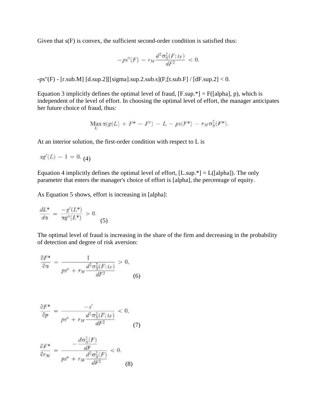Given that  $s(F)$  is convex, the sufficient second-order condition is satisfied thus:

$$
-ps''(F) - r_M \frac{d^2 \sigma_S^2(F; t_F)}{dF^2} < 0.
$$

-ps"(F) - [r.sub.M] [d.sup.2][[sigma].sup.2.sub.s](F;[t.sub.F] / [dF.sup.2] < 0.

Equation 3 implicitly defines the optimal level of fraud,  $[F.\sup_{\cdot}^*] = F([a]pha], p)$ , which is independent of the level of effort. In choosing the optimal level of effort, the manager anticipates her future choice of fraud, thus:

$$
\operatorname*{Max}_{L} \alpha(g(L) + F^* - F^c) - L - ps(F^*) - r_M \sigma_S^2(F^*).
$$

At an interior solution, the first-order condition with respect to L is

$$
\alpha g'(L) - 1 = 0. (4)
$$

Equation 4 implicitly defines the optimal level of effort,  $[L.\sup.]=L([alpha]).$  The only parameter that enters the manager's choice of effort is [alpha], the percentage of equity.

As Equation 5 shows, effort is increasing in [alpha]:

$$
\frac{dL^*}{d\alpha} = \frac{-g'(L^*)}{\alpha g''(L^*)} > 0.
$$
\n(5)

The optimal level of fraud is increasing in the share of the firm and decreasing in the probability of detection and degree of risk aversion:

$$
\frac{\partial F^*}{\partial \alpha} = \frac{1}{ps'' + r_M \frac{d^2 \sigma_S^2(F; t_F)}{dF^2}} > 0,
$$
\n(6)

$$
\frac{\partial F^*}{\partial p} = \frac{-s'}{ps'' + r_M} \frac{d^2 \sigma_S^2(F; t_F)}{dF^2} < 0,
$$
\n<sup>(7)</sup>

$$
\frac{\partial F^*}{\partial r_M} = \frac{-\frac{d\sigma_S^2(F)}{dF}}{ps'' + r_M \frac{d^2\sigma_S^2(F)}{dF^2}} < 0. \tag{8}
$$

.<br>Prima provincia de la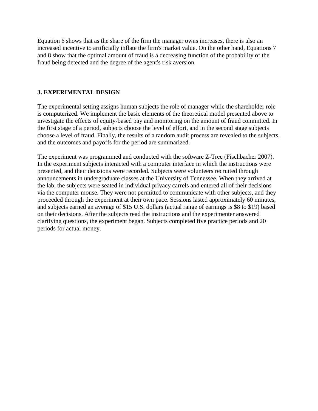Equation 6 shows that as the share of the firm the manager owns increases, there is also an increased incentive to artificially inflate the firm's market value. On the other hand, Equations 7 and 8 show that the optimal amount of fraud is a decreasing function of the probability of the fraud being detected and the degree of the agent's risk aversion.

## **3. EXPERIMENTAL DESIGN**

The experimental setting assigns human subjects the role of manager while the shareholder role is computerized. We implement the basic elements of the theoretical model presented above to investigate the effects of equity-based pay and monitoring on the amount of fraud committed. In the first stage of a period, subjects choose the level of effort, and in the second stage subjects choose a level of fraud. Finally, the results of a random audit process are revealed to the subjects, and the outcomes and payoffs for the period are summarized.

The experiment was programmed and conducted with the software Z-Tree (Fischbacher 2007). In the experiment subjects interacted with a computer interface in which the instructions were presented, and their decisions were recorded. Subjects were volunteers recruited through announcements in undergraduate classes at the University of Tennessee. When they arrived at the lab, the subjects were seated in individual privacy carrels and entered all of their decisions via the computer mouse. They were not permitted to communicate with other subjects, and they proceeded through the experiment at their own pace. Sessions lasted approximately 60 minutes, and subjects earned an average of \$15 U.S. dollars (actual range of earnings is \$8 to \$19) based on their decisions. After the subjects read the instructions and the experimenter answered clarifying questions, the experiment began. Subjects completed five practice periods and 20 periods for actual money.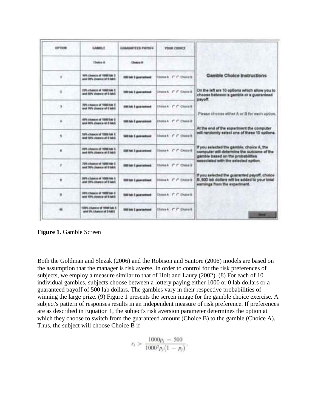| <b>CIPTION</b> | <b>CAMIN.T.</b>                                                        | <b>GIANANTEED PAYOEE</b>         | <b>YOUR CHOICE</b>         |                                                                                                                                 |
|----------------|------------------------------------------------------------------------|----------------------------------|----------------------------|---------------------------------------------------------------------------------------------------------------------------------|
|                | Challen &                                                              | Chatter &                        |                            |                                                                                                                                 |
| ¥              | TOPS Channels of 10000 lake 5.<br>send DO's, chapters of it habit      | <b>DOG balk 3 good seriousl</b>  | Chesa K T C Chunch         | Gamble Choice Instructions                                                                                                      |
| x              | 20th, chairca at 1000 Mil-1<br>and NPL chance of 5 lotd                | SAND Sale & place seriously      | Choca & C C Choca B        | On the left are 10 options which allow you to<br>choose between a gamble or a guaranteed                                        |
| ĩ              | 707's channel of 10000 lots 3.<br>used 79% change of Blake.            | folkli kala il gazia tentwed     | Chillen A., C. C. Chave B. | payoff.<br>Please choose either A or Il for each uption.                                                                        |
| ٠              | 49% charge of 1000 lot-1<br>and 20% charge of 2 lock                   | <b>SIM tab 5 gone entraned</b>   | Choice A. IT Choice B.     |                                                                                                                                 |
| ٠              | TUPS: chausea of 10000 lab S<br>small SAPS, chicameter and \$1 hale/s. | SORGAN & postal distribution     | Chuca A C C Chanals        | At the end of the experiment the computer<br>will randomly select one of these 10 options.                                      |
| ä              | 1975, channels of 1988 lab L.<br>lend AINs character of It lights      | SIZE has 1 good armed            | Chose C.C.Chose's          | If you selected the gamble, choice A, the<br>computer will determine the subcome of the<br>gamble based on the probabilities.   |
| r              | 72% chance of 1990 top 1<br>and 50% charge of 8 told.                  | SBI loh 5 guar school.           | Choose F F Choose B        | associated with the selected option.                                                                                            |
| ٠              | 30% chases of 1000 var 5<br>and 20% charges of triand                  | <b>SOO lob 1 poor wheel</b>      | Chesa A C Choca B          | If you selected the guaranted payoff, choice<br>B, 500 lab dollars will be added to your total<br>earnings from the experiment. |
| ٠              | 20% Chance of TIBE Int. S.<br>and VIA charts of Elab                   | TOTAL LAB: 5 approximated        | Chook F. F. Choose         |                                                                                                                                 |
| m              | 100% chance of 1000 lab 1<br>and the chance of 0 labit                 | <b>SIMI LAN: Il apparantment</b> | Chaus A. C. C. Chaus B.    | <b>Service</b>                                                                                                                  |

**Figure 1.** Gamble Screen

Both the Goldman and Slezak (2006) and the Robison and Santore (2006) models are based on the assumption that the manager is risk averse. In order to control for the risk preferences of subjects, we employ a measure similar to that of Holt and Laury (2002). (8) For each of 10 individual gambles, subjects choose between a lottery paying either 1000 or 0 lab dollars or a guaranteed payoff of 500 lab dollars. The gambles vary in their respective probabilities of winning the large prize. (9) Figure 1 presents the screen image for the gamble choice exercise. A subject's pattern of responses results in an independent measure of risk preference. If preferences are as described in Equation 1, the subject's risk aversion parameter determines the option at which they choose to switch from the guaranteed amount (Choice B) to the gamble (Choice A). Thus, the subject will choose Choice B if

$$
r_i > \frac{1000p_j - 500}{1000^2 p_j (1 - p_j)}.
$$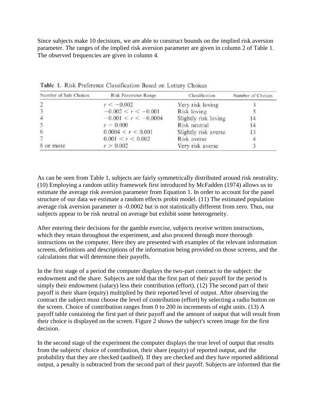Since subjects make 10 decisions, we are able to construct bounds on the implied risk aversion parameter. The ranges of the implied risk aversion parameter are given in column 2 of Table 1. The observed frequencies are given in column 4.

| Number of Safe Choices | Risk Parameter Range   | Classification       | Number of Choices |
|------------------------|------------------------|----------------------|-------------------|
|                        | $r < -0.002$           | Very risk loving     |                   |
|                        | $-0.002 < r < -0.001$  | Risk loving          |                   |
| $\cdot$ 4              | $-0.001 < r < -0.0004$ | Slightly risk loving |                   |
|                        | $r = 0.000$            | Risk neutral         |                   |
|                        | 0.0004 < r < 0.001     | Slightly risk averse |                   |
|                        | 0.001 < r < 0.002      | Risk averse          |                   |
| 8 or more              | r > 0.002              | Very risk averse     |                   |

Table 1. Risk Preference Classification Based on Lottery Choices

As can be seen from Table 1, subjects are fairly symmetrically distributed around risk neutrality. (10) Employing a random utility framework first introduced by McFadden (1974) allows us to estimate the average risk aversion parameter from Equation 1. In order to account for the panel structure of our data we estimate a random effects probit model. (11) The estimated population average risk aversion parameter is -0.0002 but is not statistically different from zero. Thus, our subjects appear to be risk neutral on average but exhibit some heterogeneity.

After entering their decisions for the gamble exercise, subjects receive written instructions, which they retain throughout the experiment, and also proceed through more thorough instructions on the computer. Here they are presented with examples of the relevant information screens, definitions and descriptions of the information being provided on those screens, and the calculations that will determine their payoffs.

In the first stage of a period the computer displays the two-part contract to the subject: the endowment and the share. Subjects are told that the first part of their payoff for the period is simply their endowment (salary) less their contribution (effort). (12) The second part of their payoff is their share (equity) multiplied by their reported level of output. After observing the contract the subject must choose the level of contribution (effort) by selecting a radio button on the screen. Choice of contribution ranges from 0 to 200 in increments of eight units. (13) A payoff table containing the first part of their payoff and the amount of output that will result from their choice is displayed on the screen. Figure 2 shows the subject's screen image for the first decision.

In the second stage of the experiment the computer displays the true level of output that results from the subjects' choice of contribution, their share (equity) of reported output, and the probability that they are checked (audited). If they are checked and they have reported additional output, a penalty is subtracted from the second part of their payoff. Subjects are informed that the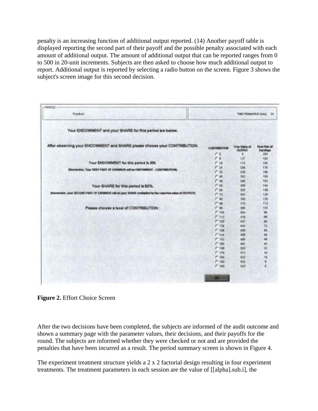penalty is an increasing function of additional output reported. (14) Another payoff table is displayed reporting the second part of their payoff and the possible penalty associated with each amount of additional output. The amount of additional output that can be reported ranges from 0 to 500 in 20-unit increments. Subjects are then asked to choose how much additional output to report. Additional output is reported by selecting a radio button on the screen. Figure 3 shows the subject's screen image for this second decision.

| <b>Poscitosti</b>                                                                                             |                      |                                   | TIME REMANDANCE SHACE 24            |
|---------------------------------------------------------------------------------------------------------------|----------------------|-----------------------------------|-------------------------------------|
| Your ENDOWMENT and your SHARE for this period are below.                                                      |                      |                                   |                                     |
| After observing your ENDOWMENT and SHARE please choose your CONTRIBUTION.                                     | <b>CONTINUESTINA</b> | <b>Trust Vidus of</b><br>CASTONAT | <b>Fig.es Place all</b><br>Earnings |
|                                                                                                               | e<br>a               |                                   | 306                                 |
|                                                                                                               | r<br>٠               | 135                               | 193                                 |
| Your ENDOWMENT for this paried is 200.                                                                        | $P - 18$             | 134                               | 134                                 |
| (Fermensier, Tour FRIST PART OF EARNINGS will be ENDOWNENT . CONTINUES/INCHIN                                 | $-34$                | 319                               | 176                                 |
|                                                                                                               | $r_{12}$             | 336                               | 164                                 |
|                                                                                                               | r<br>w               | 383                               | 186                                 |
|                                                                                                               | $r$ $\mu$            | 388                               | 182                                 |
| Your SHARE for this period is 50%.                                                                            | $r$ se               | 306                               | 144                                 |
|                                                                                                               | $r_{\text{dd}}$      | 339                               | 138                                 |
| (Pannentium, pour SECORE) PART OF EARNINGS will be pluse SHARIE could@deet by the reported volume of DEFIFUTS | $1 - 12$             | 942                               | 129                                 |
|                                                                                                               | $r =$                | 568                               | 128                                 |
|                                                                                                               | i" se                | 376                               | 112                                 |
| Please choose a level of CONTRIBUTION:                                                                        | i <sup>e</sup> M     | 392                               | 504                                 |
|                                                                                                               | $P$ His              | 654                               | 98                                  |
|                                                                                                               | $P$ is $z$           | 416                               |                                     |
|                                                                                                               | $-124$               | 428                               | 開開設                                 |
|                                                                                                               | $-738$               | 666                               |                                     |
|                                                                                                               | $r \cdot n$          | <b>WELL</b>                       | 98                                  |
|                                                                                                               | $-144$               | <b>ASA</b>                        | m                                   |
|                                                                                                               | $P''$ 1933           | 489                               | ú,                                  |
|                                                                                                               | $e^{\mu}$ van        | <b>ABS</b>                        | an                                  |
|                                                                                                               | $1 - 144$            | 943                               | ki                                  |
|                                                                                                               | $P - 178$            | 193                               | 28                                  |
|                                                                                                               | $1 - 184$            | 428                               | ü                                   |
|                                                                                                               | <b>P.183</b>         | 533                               | ×                                   |
|                                                                                                               | <b>1" 358</b>        | 543                               | ä                                   |

**Figure 2.** Effort Choice Screen

After the two decisions have been completed, the subjects are informed of the audit outcome and shown a summary page with the parameter values, their decisions, and their payoffs for the round. The subjects are informed whether they were checked or not and are provided the penalties that have been incurred as a result. The period summary screen is shown in Figure 4.

The experiment treatment structure yields a 2 x 2 factorial design resulting in four experiment treatments. The treatment parameters in each session are the value of [[alpha].sub.i], the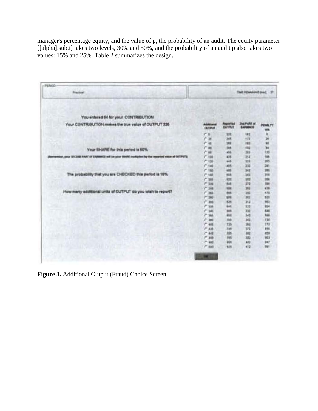manager's percentage equity, and the value of p, the probability of an audit. The equity parameter [[alpha].sub.i] takes two levels, 30% and 50%, and the probability of an audit p also takes two values: 15% and 25%. Table 2 summarizes the design.

| <b><i><u>Prinction's</u></i></b>                                                                         | THE REWARDED Hard 17                 |                                                             |                                 |                       |  |
|----------------------------------------------------------------------------------------------------------|--------------------------------------|-------------------------------------------------------------|---------------------------------|-----------------------|--|
| You entered 64 for your CONTRIBUTION                                                                     |                                      |                                                             |                                 |                       |  |
| Your CONTRIBUTION makes the true value of OUTPUT 325                                                     | <b>Automotive</b><br><b>CAUSINAT</b> | <b><i><u>Paspose Vand</u></i></b><br><b><i>CAJTERUT</i></b> | <b>Jins PAAL at</b><br>EAPHRACE | <b>PENALTY</b><br>15% |  |
|                                                                                                          | $1 - 1$                              | 325                                                         | 182                             | ٠                     |  |
|                                                                                                          | ۳<br>m                               | 348                                                         | $+72$                           | 26                    |  |
|                                                                                                          | $r =$                                | 398                                                         | 183                             | w                     |  |
| Your SHARE for this period is 50%.                                                                       | $1 - 40$                             | <b>John</b>                                                 | HNS                             | <b>W</b>              |  |
|                                                                                                          | 1 88                                 | ADS                                                         | 393                             | 1:55                  |  |
| writing, your SECEME FAAT OF ENRINNES will be place Stable asufficient by the reported easie of OUTPUTS. | $-344$                               | K39                                                         | 352                             | 166                   |  |
|                                                                                                          | $-120$                               | 985                                                         | 333                             | 205                   |  |
|                                                                                                          | $f''$ field                          | <b>ASS</b>                                                  | 333                             | 381                   |  |
|                                                                                                          | $1 - 160$                            | 488                                                         | 342                             | 385                   |  |
| The probability that you are CHECKED this period is 16%                                                  | $1 - 188$                            | 555                                                         | 303                             | 319                   |  |
|                                                                                                          | $-388$                               | 436                                                         | 383                             | 354                   |  |
|                                                                                                          | $r = 226$                            | 648                                                         | 372                             | 786                   |  |
|                                                                                                          | $-348$                               | <b>YES</b>                                                  | 383                             | 438                   |  |
| How many additional units of CUTPUT do you wish to report?                                               | $r$ as                               | 185                                                         | 383                             | 375                   |  |
|                                                                                                          | $r = 200$                            | 101                                                         | 363                             | 939                   |  |
|                                                                                                          | $T - 300$                            | <b>KOR</b>                                                  | 31.2                            | 963                   |  |
|                                                                                                          | ۳<br>338                             | <b>WAK</b>                                                  | 122                             | 314                   |  |
|                                                                                                          | r<br>140                             | 'set                                                        | <b>WEE</b>                      | 846                   |  |
|                                                                                                          | i <sup>n</sup> Ski                   | <b>ASK</b>                                                  | 543                             | has                   |  |
|                                                                                                          | r<br><b>Sell</b>                     | ma                                                          | 363                             | T35                   |  |
|                                                                                                          | r<br>408                             | 725                                                         | 395                             | 178                   |  |
|                                                                                                          | $F = 430$                            | 346                                                         | 372                             | 816                   |  |
|                                                                                                          | $1 - 444$                            | 795                                                         | 39.2                            | 459                   |  |
|                                                                                                          | ۴<br>488                             | <b>FWN</b>                                                  | 383                             | 983                   |  |
|                                                                                                          | $-140$                               | <b>WOR</b>                                                  | 883                             | <b>BAT</b>            |  |
|                                                                                                          | $r$ son                              | 9.5%                                                        | $-412$                          | 'BET                  |  |

**Figure 3.** Additional Output (Fraud) Choice Screen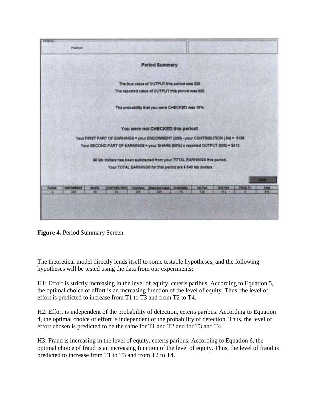

**Figure 4.** Period Summary Screen

The theoretical model directly lends itself to some testable hypotheses, and the following hypotheses will be tested using the data from our experiments:

H1: Effort is strictly increasing in the level of equity, ceteris paribus. According to Equation 5, the optimal choice of effort is an increasing function of the level of equity. Thus, the level of effort is predicted to increase from T1 to T3 and from T2 to T4.

H2: Effort is independent of the probability of detection, ceteris paribus. According to Equation 4, the optimal choice of effort is independent of the probability of detection. Thus, the level of effort chosen is predicted to be the same for T1 and T2 and for T3 and T4.

H3: Fraud is increasing in the level of equity, ceteris paribus. According to Equation 6, the optimal choice of fraud is an increasing function of the level of equity. Thus, the level of fraud is predicted to increase from T1 to T3 and from T2 to T4.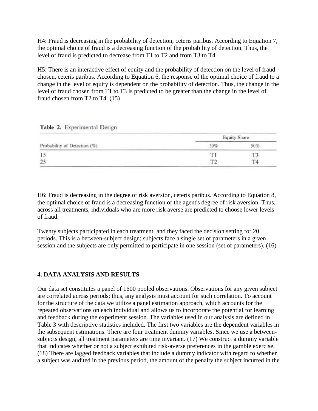H4: Fraud is decreasing in the probability of detection, ceteris paribus. According to Equation 7, the optimal choice of fraud is a decreasing function of the probability of detection. Thus, the level of fraud is predicted to decrease from T1 to T2 and from T3 to T4.

H5: There is an interactive effect of equity and the probability of detection on the level of fraud chosen, ceteris paribus. According to Equation 6, the response of the optimal choice of fraud to a change in the level of equity is dependent on the probability of detection. Thus, the change in the level of fraud chosen from T1 to T3 is predicted to be greater than the change in the level of fraud chosen from T2 to T4. (15)

|  | Table 2. Experimental Design |  |
|--|------------------------------|--|
|  |                              |  |

| Probability of Detection (%) | Equity Share |  |  |
|------------------------------|--------------|--|--|
|                              | 30%          |  |  |
|                              |              |  |  |
| 25<br>do a                   |              |  |  |

H6: Fraud is decreasing in the degree of risk aversion, ceteris paribus. According to Equation 8, the optimal choice of fraud is a decreasing function of the agent's degree of risk aversion. Thus, across all treatments, individuals who are more risk averse are predicted to choose lower levels of fraud.

Twenty subjects participated in each treatment, and they faced the decision setting for 20 periods. This is a between-subject design; subjects face a single set of parameters in a given session and the subjects are only permitted to participate in one session (set of parameters). (16)

# **4. DATA ANALYSIS AND RESULTS**

Our data set constitutes a panel of 1600 pooled observations. Observations for any given subject are correlated across periods; thus, any analysis must account for such correlation. To account for the structure of the data we utilize a panel estimation approach, which accounts for the repeated observations on each individual and allows us to incorporate the potential for learning and feedback during the experiment session. The variables used in our analysis are defined in Table 3 with descriptive statistics included. The first two variables are the dependent variables in the subsequent estimations. There are four treatment dummy variables. Since we use a betweensubjects design, all treatment parameters are time invariant. (17) We construct a dummy variable that indicates whether or not a subject exhibited risk-averse preferences in the gamble exercise. (18) There are lagged feedback variables that include a dummy indicator with regard to whether a subject was audited in the previous period, the amount of the penalty the subject incurred in the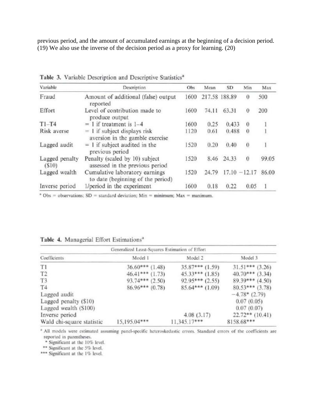previous period, and the amount of accumulated earnings at the beginning of a decision period. (19) We also use the inverse of the decision period as a proxy for learning. (20)

| Variable                | Description                                                         | Obs  | Mean  | <b>SD</b>     | Min             | Max   |
|-------------------------|---------------------------------------------------------------------|------|-------|---------------|-----------------|-------|
| Fraud                   | Amount of additional (false) output<br>reported                     | 1600 |       | 217.58 188.89 | $\theta$        | 500   |
| Effort                  | Level of contribution made to<br>produce output                     | 1600 | 74.11 | 63.31         | $\theta$        | 200   |
| $T1-T4$                 | $= 1$ if treatment is 1-4                                           | 1600 | 0.25  | 0.433         | $\theta$        |       |
| Risk averse             | $= 1$ if subject displays risk<br>aversion in the gamble exercise   | 1120 | 0.61  | 0.488         | $\theta$        |       |
| Lagged audit            | $= 1$ if subject audited in the<br>previous period                  | 1520 | 0.20  | 0.40          | $\theta$        | 1     |
| Lagged penalty<br>(S10) | Penalty (scaled by 10) subject<br>assessed in the previous period   | 1520 | 8.46  | 24.33         | $\theta$        | 99.05 |
| Lagged wealth           | Cumulative laboratory earnings<br>to date (beginning of the period) | 1520 | 24.79 |               | $17.10 - 12.17$ | 86.00 |
| Inverse period          | l/period in the experiment                                          | 1600 | 0.18  | 0.22          | 0.05            |       |

Table 3. Variable Description and Descriptive Statistics<sup>a</sup>

 $\degree$  Obs = observations; SD = standard deviation; Min = minimum; Max = maximum.

| Generalized Least-Squares Estimation of Effort |                   |                     |                   |  |  |
|------------------------------------------------|-------------------|---------------------|-------------------|--|--|
| Coefficients                                   | Model 1           | Model 2             | Model 3           |  |  |
| T1                                             | $36.60***$ (1.48) | $35.87***(1.59)$    | $31.51***$ (3.26) |  |  |
| T <sub>2</sub>                                 | $46.41***$ (1.73) | $45.33***$ $(1.85)$ | $40.70***$ (3.34) |  |  |
| T <sub>3</sub>                                 | $93.74***$ (2.50) | $92.95***$ (2.55)   | $89.39***$ (4.50) |  |  |
| T <sub>4</sub>                                 | $86.96***(0.78)$  | $85.64***(1.09)$    | $80.53***$ (3.78) |  |  |
| Lagged audit                                   |                   |                     | $-4.78*(2.79)$    |  |  |
| Lagged penalty (\$10)                          |                   |                     | 0.07(0.05)        |  |  |
| Lagged wealth (\$100)                          |                   |                     | 0.07(0.07)        |  |  |
| Inverse period                                 |                   | 4.08(3.17)          | $22.72**$ (10.41) |  |  |
| Wald chi-square statistic                      | 15,195.04***      | $11,345.17***$      | 8158.68***        |  |  |

|  |  |  | Table 4. Managerial Effort Estimations" |
|--|--|--|-----------------------------------------|
|--|--|--|-----------------------------------------|

<sup>a</sup> All models were estimated assuming panel-specific heteroskedastic errors. Standard errors of the coefficients are reported in parentheses.

\* Significant at the 10% level.

\*\* Significant at the 5% level.

\*\*\* Significant at the 1% level.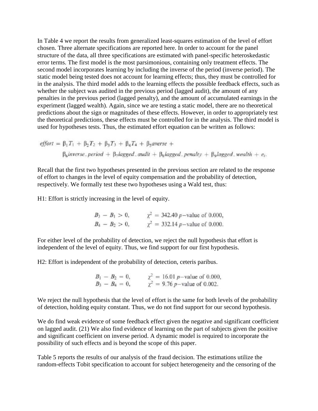In Table 4 we report the results from generalized least-squares estimation of the level of effort chosen. Three alternate specifications are reported here. In order to account for the panel structure of the data, all three specifications are estimated with panel-specific heteroskedastic error terms. The first model is the most parsimonious, containing only treatment effects. The second model incorporates learning by including the inverse of the period (inverse period). The static model being tested does not account for learning effects; thus, they must be controlled for in the analysis. The third model adds to the learning effects the possible feedback effects, such as whether the subject was audited in the previous period (lagged audit), the amount of any penalties in the previous period (lagged penalty), and the amount of accumulated earnings in the experiment (lagged wealth). Again, since we are testing a static model, there are no theoretical predictions about the sign or magnitudes of these effects. However, in order to appropriately test the theoretical predictions, these effects must be controlled for in the analysis. The third model is used for hypotheses tests. Thus, the estimated effort equation can be written as follows:

$$
effort = \beta_1 T_1 + \beta_2 T_2 + \beta_3 T_3 + \beta_4 T_4 + \beta_5 \text{average} +
$$
  

$$
\beta_6 \text{inverse\_period} + \beta_7 \text{lagged\_audit} + \beta_8 \text{lagged\_penalty} + \beta_9 \text{lagged\_weak} \text{wealth} + e_i.
$$

Recall that the first two hypotheses presented in the previous section are related to the response of effort to changes in the level of equity compensation and the probability of detection, respectively. We formally test these two hypotheses using a Wald test, thus:

H1: Effort is strictly increasing in the level of equity.

 $B_3 - B_1 > 0$ ,  $\chi^2 = 342.40 p$ -value of 0.000,<br>  $B_4 - B_2 > 0$ ,  $\chi^2 = 332.14 p$ -value of 0.000.

For either level of the probability of detection, we reject the null hypothesis that effort is independent of the level of equity. Thus, we find support for our first hypothesis.

H2: Effort is independent of the probability of detection, ceteris paribus.

 $B_1 - B_2 = 0$ ,  $\chi^2 = 16.01 p$ -value of 0.000,<br>  $B_3 - B_4 = 0$ ,  $\chi^2 = 9.76 p$ -value of 0.002.

We reject the null hypothesis that the level of effort is the same for both levels of the probability of detection, holding equity constant. Thus, we do not find support for our second hypothesis.

We do find weak evidence of some feedback effect given the negative and significant coefficient on lagged audit. (21) We also find evidence of learning on the part of subjects given the positive and significant coefficient on inverse period. A dynamic model is required to incorporate the possibility of such effects and is beyond the scope of this paper.

Table 5 reports the results of our analysis of the fraud decision. The estimations utilize the random-effects Tobit specification to account for subject heterogeneity and the censoring of the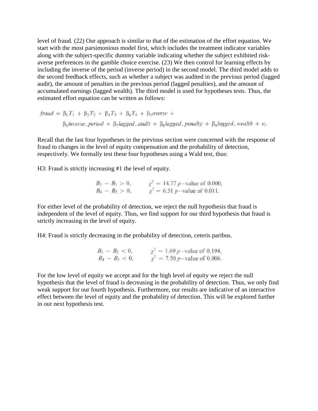level of fraud. (22) Our approach is similar to that of the estimation of the effort equation. We start with the most parsimonious model first, which includes the treatment indicator variables along with the subject-specific dummy variable indicating whether the subject exhibited riskaverse preferences in the gamble choice exercise. (23) We then control for learning effects by including the inverse of the period (inverse period) in the second model. The third model adds to the second feedback effects, such as whether a subject was audited in the previous period (lagged audit), the amount of penalties in the previous period (lagged penalties), and the amount of accumulated earnings (lagged wealth). The third model is used for hypotheses tests. Thus, the estimated effort equation can be written as follows:

$$
fraud = \beta_1 T_1 + \beta_2 T_2 + \beta_3 T_3 + \beta_4 T_4 + \beta_5 \text{average} +
$$
  

$$
\beta_6 \text{inverse\_period} + \beta_7 \text{lagged\_audit} + \beta_8 \text{lagged\_penalty} + \beta_9 \text{lagged\_weakth} + e_i.
$$

Recall that the last four hypotheses in the previous section were concerned with the response of fraud to changes in the level of equity compensation and the probability of detection, respectively. We formally test these four hypotheses using a Wald test, thus:

H3: Fraud is strictly increasing #1 the level of equity.

$$
B_3 - B_1 > 0,
$$
  $\chi^2 = 14.77 p$ -value of 0.000,  
\n $B_4 - B_2 > 0,$   $\chi^2 = 6.51 p$ -value of 0.011.

For either level of the probability of detection, we reject the null hypothesis that fraud is independent of the level of equity. Thus, we find support for our third hypothesis that fraud is strictly increasing in the level of equity.

H4: Fraud is strictly decreasing in the probability of detection, ceteris paribus.

$$
B_1 - B_2 < 0, \qquad \chi^2 = 1.69 \, p \text{–value of 0.194},
$$
\n
$$
B_4 - B_3 < 0, \qquad \chi^2 = 7.50 \, p \text{–value of 0.006}.
$$

For the low level of equity we accept and for the high level of equity we reject the null hypothesis that the level of fraud is decreasing in the probability of detection. Thus, we only find weak support for our fourth hypothesis. Furthermore, our results are indicative of an interactive effect between the level of equity and the probability of detection. This will be explored further in our next hypothesis test.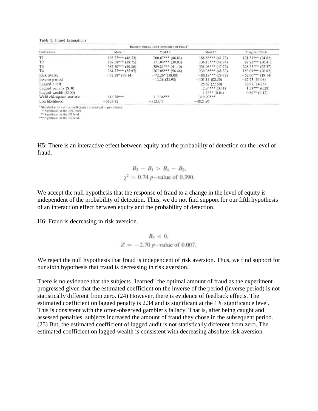#### Table 5. Fraud Estimations

| Random-Effects Tobit Estimation of Fraud <sup>a</sup> |                     |                     |                     |                       |  |
|-------------------------------------------------------|---------------------|---------------------|---------------------|-----------------------|--|
| Coefficients                                          | Model 1             | Model 2             | Model 3             | Marginal Effects      |  |
| T1                                                    | $198.27***$ (46.53) | $200.67***$ (46.81) | $188.55***$ (41.72) | $121.57***$ $(24.82)$ |  |
| T2                                                    | $168.68***$ (38.75) | $171.04***$ (39.03) | $136.17***$ (48.74) | $88.82***$ (30.41)    |  |
| T3                                                    | $387.50***$ (40.86) | $389.81***$ (41.10) | $338.08***$ (47.72) | $208.55***$ (22.37)   |  |
| T <sub>4</sub>                                        | $264.77***$ (55.97) | $267.05***$ (56.46) | $239.35***$ (48.33) | $153.01***$ (26.82)   |  |
| Risk averse                                           | $-72.28$ * (38.14)  | $-72.26*(38.08)$    | $-80.19***(29.72)$  | $-52.60***$ (19.14)   |  |
| Inverse period                                        |                     | $-13.36(28.98)$     | $-103.16(82.50)$    | $-67.75(54.06)$       |  |
| Lagged audit                                          |                     |                     | 25.82 (22.50)       | 16.97(14.77)          |  |
| Lagged penalty (\$10)                                 |                     |                     | $2.34***(0.41)$     | $1.53***(0.28)$       |  |
| Lagged wealth (\$100)                                 |                     |                     | $1.35**$ (0.64)     | $0.89**$ (0.42)       |  |
| Wald chi-square statistic                             | $116.78***$         | $117.36***$         | $319.90***$         |                       |  |
| Log likelihood                                        | $-5123.82$          | $-5123.71$          | $-4821.96$          |                       |  |

<sup>a</sup> Standard errors of the coefficients are reported in parentheses.

\* Significant at the 10% level. \*\* Significant at the 5% level.

\*\*\* Significant at the 1% level.

H5: There is an interactive effect between equity and the probability of detection on the level of fraud.

$$
B_3 - B_1 > B_4 - B_2,
$$
  
 $\chi^2 = 0.74 p$ -value of 0.390.

We accept the null hypothesis that the response of fraud to a change in the level of equity is independent of the probability of detection. Thus, we do not find support for our fifth hypothesis of an interaction effect between equity and the probability of detection.

H6: Fraud is decreasing in risk aversion.

$$
B_5 < 0
$$
,  
\n $Z = -2.70 \, p$ -value of 0.007.

We reject the null hypothesis that fraud is independent of risk aversion. Thus, we find support for our sixth hypothesis that fraud is decreasing in risk aversion.

There is no evidence that the subjects "learned" the optimal amount of fraud as the experiment progressed given that the estimated coefficient on the inverse of the period (inverse period) is not statistically different from zero. (24) However, there is evidence of feedback effects. The estimated coefficient on lagged penalty is 2.34 and is significant at the 1% significance level. This is consistent with the often-observed gambler's fallacy. That is, after being caught and assessed penalties, subjects increased the amount of fraud they chose in the subsequent period. (25) But, the estimated coefficient of lagged audit is not statistically different from zero. The estimated coefficient on lagged wealth is consistent with decreasing absolute risk aversion.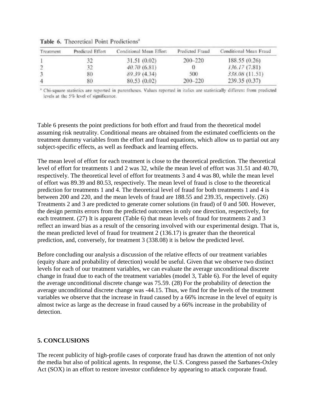| Treatment      | Predicted Effort | Conditional Mean Effort | Predicted Fraud | Conditional Mean Fraud |
|----------------|------------------|-------------------------|-----------------|------------------------|
|                |                  | 31.51(0.02)             | $200 - 220$     | 188.55 (0.26)          |
|                |                  | 40.70(6.81)             |                 | 136.17 (7.81)          |
| 3              | 80               | 89.39 (4.34)            | 500             | 338.08 (11.51)         |
| $\overline{4}$ | 80               | 80.53 (0.02)            | 200-220         | 239.35(0.37)           |

Table 6. Theoretical Point Predictions<sup>a</sup>

<sup>a</sup> Chi-square statistics are reported in parentheses. Values reported in italies are statistically different from predicted levels at the 5% level of significance.

Table 6 presents the point predictions for both effort and fraud from the theoretical model assuming risk neutrality. Conditional means are obtained from the estimated coefficients on the treatment dummy variables from the effort and fraud equations, which allow us to partial out any subject-specific effects, as well as feedback and learning effects.

The mean level of effort for each treatment is close to the theoretical prediction. The theoretical level of effort for treatments 1 and 2 was 32, while the mean level of effort was 31.51 and 40.70, respectively. The theoretical level of effort for treatments 3 and 4 was 80, while the mean level of effort was 89.39 and 80.53, respectively. The mean level of fraud is close to the theoretical prediction for treatments 1 and 4. The theoretical level of fraud for both treatments 1 and 4 is between 200 and 220, and the mean levels of fraud are 188.55 and 239.35, respectively. (26) Treatments 2 and 3 are predicted to generate corner solutions (in fraud) of 0 and 500. However, the design permits errors from the predicted outcomes in only one direction, respectively, for each treatment. (27) It is apparent (Table 6) that mean levels of fraud for treatments 2 and 3 reflect an inward bias as a result of the censoring involved with our experimental design. That is, the mean predicted level of fraud for treatment 2 (136.17) is greater than the theoretical prediction, and, conversely, for treatment 3 (338.08) it is below the predicted level.

Before concluding our analysis a discussion of the relative effects of our treatment variables (equity share and probability of detection) would be useful. Given that we observe two distinct levels for each of our treatment variables, we can evaluate the average unconditional discrete change in fraud due to each of the treatment variables (model 3, Table 6). For the level of equity the average unconditional discrete change was 75.59. (28) For the probability of detection the average unconditional discrete change was -44.15. Thus, we find for the levels of the treatment variables we observe that the increase in fraud caused by a 66% increase in the level of equity is almost twice as large as the decrease in fraud caused by a 66% increase in the probability of detection.

#### **5. CONCLUSIONS**

The recent publicity of high-profile cases of corporate fraud has drawn the attention of not only the media but also of political agents. In response, the U.S. Congress passed the Sarbanes-Oxley Act (SOX) in an effort to restore investor confidence by appearing to attack corporate fraud.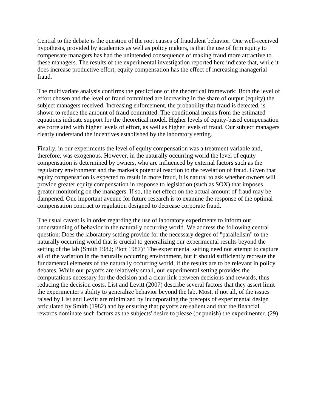Central to the debate is the question of the root causes of fraudulent behavior. One well-received hypothesis, provided by academics as well as policy makers, is that the use of firm equity to compensate managers has had the unintended consequence of making fraud more attractive to these managers. The results of the experimental investigation reported here indicate that, while it does increase productive effort, equity compensation has the effect of increasing managerial fraud.

The multivariate analysis confirms the predictions of the theoretical framework: Both the level of effort chosen and the level of fraud committed are increasing in the share of output (equity) the subject managers received. Increasing enforcement, the probability that fraud is detected, is shown to reduce the amount of fraud committed. The conditional means from the estimated equations indicate support for the theoretical model. Higher levels of equity-based compensation are correlated with higher levels of effort, as well as higher levels of fraud. Our subject managers clearly understand the incentives established by the laboratory setting.

Finally, in our experiments the level of equity compensation was a treatment variable and, therefore, was exogenous. However, in the naturally occurring world the level of equity compensation is determined by owners, who are influenced by external factors such as the regulatory environment and the market's potential reaction to the revelation of fraud. Given that equity compensation is expected to result in more fraud, it is natural to ask whether owners will provide greater equity compensation in response to legislation (such as SOX) that imposes greater monitoring on the managers. If so, the net effect on the actual amount of fraud may be dampened. One important avenue for future research is to examine the response of the optimal compensation contract to regulation designed to decrease corporate fraud.

The usual caveat is in order regarding the use of laboratory experiments to inform our understanding of behavior in the naturally occurring world. We address the following central question: Does the laboratory setting provide for the necessary degree of "parallelism" to the naturally occurring world that is crucial to generalizing our experimental results beyond the setting of the lab (Smith 1982; Plott 1987)? The experimental setting need not attempt to capture all of the variation in the naturally occurring environment, but it should sufficiently recreate the fundamental elements of the naturally occurring world, if the results are to be relevant in policy debates. While our payoffs are relatively small, our experimental setting provides the computations necessary for the decision and a clear link between decisions and rewards, thus reducing the decision costs. List and Levitt (2007) describe several factors that they assert limit the experimenter's ability to generalize behavior beyond the lab. Most, if not all, of the issues raised by List and Levitt are minimized by incorporating the precepts of experimental design articulated by Smith (1982) and by ensuring that payoffs are salient and that the financial rewards dominate such factors as the subjects' desire to please (or punish) the experimenter. (29)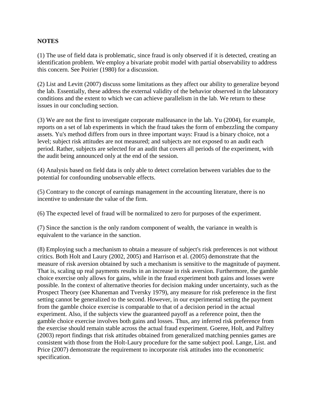# **NOTES**

(1) The use of field data is problematic, since fraud is only observed if it is detected, creating an identification problem. We employ a bivariate probit model with partial observability to address this concern. See Poirier (1980) for a discussion.

(2) List and Levitt (2007) discuss some limitations as they affect our ability to generalize beyond the lab. Essentially, these address the external validity of the behavior observed in the laboratory conditions and the extent to which we can achieve parallelism in the lab. We return to these issues in our concluding section.

(3) We are not the first to investigate corporate malfeasance in the lab. Yu (2004), for example, reports on a set of lab experiments in which the fraud takes the form of embezzling the company assets. Yu's method differs from ours in three important ways: Fraud is a binary choice, not a level; subject risk attitudes are not measured; and subjects are not exposed to an audit each period. Rather, subjects are selected for an audit that covers all periods of the experiment, with the audit being announced only at the end of the session.

(4) Analysis based on field data is only able to detect correlation between variables due to the potential for confounding unobservable effects.

(5) Contrary to the concept of earnings management in the accounting literature, there is no incentive to understate the value of the firm.

(6) The expected level of fraud will be normalized to zero for purposes of the experiment.

(7) Since the sanction is the only random component of wealth, the variance in wealth is equivalent to the variance in the sanction.

(8) Employing such a mechanism to obtain a measure of subject's risk preferences is not without critics. Both Holt and Laury (2002, 2005) and Harrison et al. (2005) demonstrate that the measure of risk aversion obtained by such a mechanism is sensitive to the magnitude of payment. That is, scaling up real payments results in an increase in risk aversion. Furthermore, the gamble choice exercise only allows for gains, while in the fraud experiment both gains and losses were possible. In the context of alternative theories for decision making under uncertainty, such as the Prospect Theory (see Khaneman and Tversky 1979), any measure for risk preference in the first setting cannot be generalized to the second. However, in our experimental setting the payment from the gamble choice exercise is comparable to that of a decision period in the actual experiment. Also, if the subjects view the guaranteed payoff as a reference point, then the gamble choice exercise involves both gains and losses. Thus, any inferred risk preference from the exercise should remain stable across the actual fraud experiment. Goeree, Holt, and Palfrey (2003) report findings that risk attitudes obtained from generalized matching pennies games are consistent with those from the Holt-Laury procedure for the same subject pool. Lange, List. and Price (2007) demonstrate the requirement to incorporate risk attitudes into the econometric specification.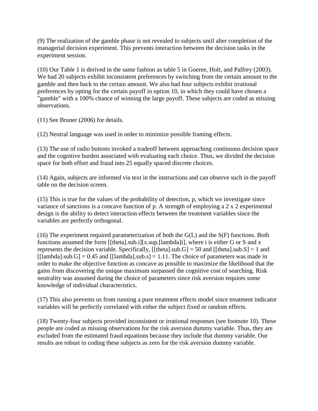(9) The realization of the gamble phase is not revealed to subjects until alter completion of the managerial decision experiment. This prevents interaction between the decision tasks in the experiment session.

(10) Our Table 1 is derived in the same fashion as table 5 in Goeree, Holt, and Palfrey (2003). We had 20 subjects exhibit inconsistent preferences by switching from the certain amount to the gamble and then back to the certain amount. We also had four subjects exhibit irrational preferences by opting for the certain payoff in option 10, in which they could have chosen a "gamble" with a 100% chance of winning the large payoff. These subjects are coded as missing observations.

(11) See Bruner (2006) for details.

(12) Neutral language was used in order to minimize possible framing effects.

(13) The use of radio buttons invoked a tradeoff between approaching continuous decision space and the cognitive burden associated with evaluating each choice. Thus, we divided the decision space for both effort and fraud into 25 equally spaced discrete choices.

(14) Again, subjects are informed via text in the instructions and can observe such in the payoff table on the decision screen.

(15) This is true for the values of the probability of detection, p, which we investigate since variance of sanctions is a concave function of p. A strength of employing a 2 x 2 experimental design is the ability to detect interaction effects between the treatment variables since the variables are perfectly orthogonal.

(16) The experiment required parameterization of both the G(L) and the S(F) functions. Both functions assumed the form [[theta].sub.i][x.sup.[lambda]i], where i is either G or S and x represents the decision variable. Specifically,  $[$ [theta].sub.G] = 50 and  $[$ [theta].sub.S] = 1 and  $[|lambda].sub.G] = 0.45$  and  $[|lambda].sub.s] = 1.11$ . The choice of parameters was made in order to make the objective function as concave as possible to maximize the likelihood that the gains from discovering the unique maximum surpassed the cognitive cost of searching. Risk neutrality was assumed during the choice of parameters since risk aversion requires some knowledge of individual characteristics.

(17) This also prevents us from running a pure treatment effects model since treatment indicator variables will be perfectly correlated with either the subject fixed or random effects.

(18) Twenty-four subjects provided inconsistent or irrational responses (see footnote 10). These people are coded as missing observations for the risk aversion dummy variable. Thus, they are excluded from the estimated fraud equations because they include that dummy variable. Our results are robust to coding these subjects as zero for the risk aversion dummy variable.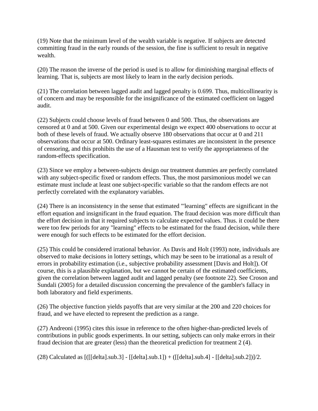(19) Note that the minimum level of the wealth variable is negative. If subjects are detected committing fraud in the early rounds of the session, the fine is sufficient to result in negative wealth.

(20) The reason the inverse of the period is used is to allow for diminishing marginal effects of learning. That is, subjects are most likely to learn in the early decision periods.

(21) The correlation between lagged audit and lagged penalty is 0.699. Thus, multicollinearity is of concern and may be responsible for the insignificance of the estimated coefficient on lagged audit.

(22) Subjects could choose levels of fraud between 0 and 500. Thus, the observations are censored at 0 and at 500. Given our experimental design we expect 400 observations to occur at both of these levels of fraud. We actually observe 180 observations that occur at 0 and 211 observations that occur at 500. Ordinary least-squares estimates are inconsistent in the presence of censoring, and this prohibits the use of a Hausman test to verify the appropriateness of the random-effects specification.

(23) Since we employ a between-subjects design our treatment dummies are perfectly correlated with any subject-specific fixed or random effects. Thus, the most parsimonious model we can estimate must include at least one subject-specific variable so that the random effects are not perfectly correlated with the explanatory variables.

(24) There is an inconsistency in the sense that estimated "'learning" effects are significant in the effort equation and insignificant in the fraud equation. The fraud decision was more difficult than the effort decision in that it required subjects to calculate expected values. Thus. it could be there were too few periods for any "learning" effects to be estimated for the fraud decision, while there were enough for such effects to be estimated for the effort decision.

(25) This could be considered irrational behavior. As Davis and Holt (1993) note, individuals are observed to make decisions in lottery settings, which may be seen to be irrational as a result of errors in probability estimation (i.e., subjective probability assessment [Davis and Holt]). Of course, this is a plausible explanation, but we cannot be certain of the estimated coefficients, given the correlation between lagged audit and lagged penalty (see footnote 22). See Croson and Sundali (2005) for a detailed discussion concerning the prevalence of the gambler's fallacy in both laboratory and field experiments.

(26) The objective function yields payoffs that are very similar at the 200 and 220 choices for fraud, and we have elected to represent the prediction as a range.

(27) Andreoni (1995) cites this issue in reference to the often higher-than-predicted levels of contributions in public goods experiments. In our setting, subjects can only make errors in their fraud decision that are greater (less) than the theoretical prediction for treatment 2 (4).

(28) Calculated as [([[delta].sub.3] - [[delta].sub.1]) + ([[delta].sub.4] - [[delta].sub.2])]/2.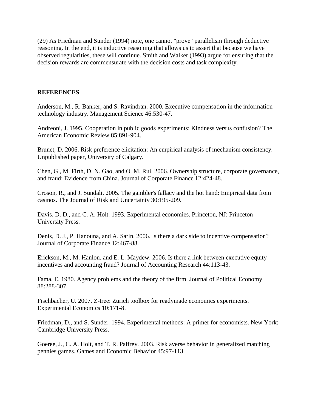(29) As Friedman and Sunder (1994) note, one cannot "prove" parallelism through deductive reasoning. In the end, it is inductive reasoning that allows us to assert that because we have observed regularities, these will continue. Smith and Walker (1993) argue for ensuring that the decision rewards are commensurate with the decision costs and task complexity.

### **REFERENCES**

Anderson, M., R. Banker, and S. Ravindran. 2000. Executive compensation in the information technology industry. Management Science 46:530-47.

Andreoni, J. 1995. Cooperation in public goods experiments: Kindness versus confusion? The American Economic Review 85:891-904.

Brunet, D. 2006. Risk preference elicitation: An empirical analysis of mechanism consistency. Unpublished paper, University of Calgary.

Chen, G., M. Firth, D. N. Gao, and O. M. Rui. 2006. Ownership structure, corporate governance, and fraud: Evidence from China. Journal of Corporate Finance 12:424-48.

Croson, R., and J. Sundali. 2005. The gambler's fallacy and the hot hand: Empirical data from casinos. The Journal of Risk and Uncertainty 30:195-209.

Davis, D. D., and C. A. Holt. 1993. Experimental economies. Princeton, NJ: Princeton University Press.

Denis, D. J., P. Hanouna, and A. Sarin. 2006. Is there a dark side to incentive compensation? Journal of Corporate Finance 12:467-88.

Erickson, M., M. Hanlon, and E. L. Maydew. 2006. Is there a link between executive equity incentives and accounting fraud? Journal of Accounting Research 44:113-43.

Fama, E. 1980. Agency problems and the theory of the firm. Journal of Political Economy 88:288-307.

Fischbacher, U. 2007. Z-tree: Zurich toolbox for readymade economics experiments. Experimental Economics 10:171-8.

Friedman, D., and S. Sunder. 1994. Experimental methods: A primer for economists. New York: Cambridge University Press.

Goeree, J., C. A. Holt, and T. R. Palfrey. 2003. Risk averse behavior in generalized matching pennies games. Games and Economic Behavior 45:97-113.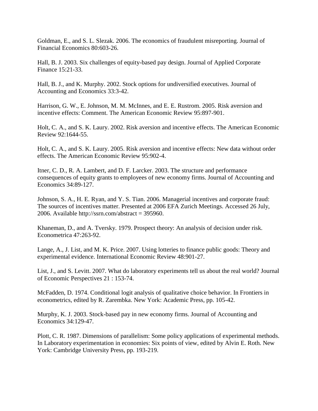Goldman, E., and S. L. Slezak. 2006. The economics of fraudulent misreporting. Journal of Financial Economics 80:603-26.

Hall, B. J. 2003. Six challenges of equity-based pay design. Journal of Applied Corporate Finance 15:21-33.

Hall, B. J., and K. Murphy. 2002. Stock options for undiversified executives. Journal of Accounting and Economics 33:3-42.

Harrison, G. W., E. Johnson, M. M. McInnes, and E. E. Rustrom. 2005. Risk aversion and incentive effects: Comment. The American Economic Review 95:897-901.

Holt, C. A., and S. K. Laury. 2002. Risk aversion and incentive effects. The American Economic Review 92:1644-55.

Holt, C. A., and S. K. Laury. 2005. Risk aversion and incentive effects: New data without order effects. The American Economic Review 95:902-4.

Itner, C. D., R. A. Lambert, and D. F. Larcker. 2003. The structure and performance consequences of equity grants to employees of new economy firms. Journal of Accounting and Economics 34:89-127.

Johnson, S. A., H. E. Ryan, and Y. S. Tian. 2006. Managerial incentives and corporate fraud: The sources of incentives matter. Presented at 2006 EFA Zurich Meetings. Accessed 26 July, 2006. Available http://ssrn.com/abstract = 395960.

Khaneman, D., and A. Tversky. 1979. Prospect theory: An analysis of decision under risk. Econometrica 47:263-92.

Lange, A., J. List, and M. K. Price. 2007. Using lotteries to finance public goods: Theory and experimental evidence. International Economic Review 48:901-27.

List, J., and S. Levitt. 2007. What do laboratory experiments tell us about the real world? Journal of Economic Perspectives 21 : 153-74.

McFadden, D. 1974. Conditional logit analysis of qualitative choice behavior. In Frontiers in econometrics, edited by R. Zarembka. New York: Academic Press, pp. 105-42.

Murphy, K. J. 2003. Stock-based pay in new economy firms. Journal of Accounting and Economics 34:129-47.

Plott, C. R. 1987. Dimensions of parallelism: Some policy applications of experimental methods. In Laboratory experimentation in economies: Six points of view, edited by Alvin E. Roth. New York: Cambridge University Press, pp. 193-219.